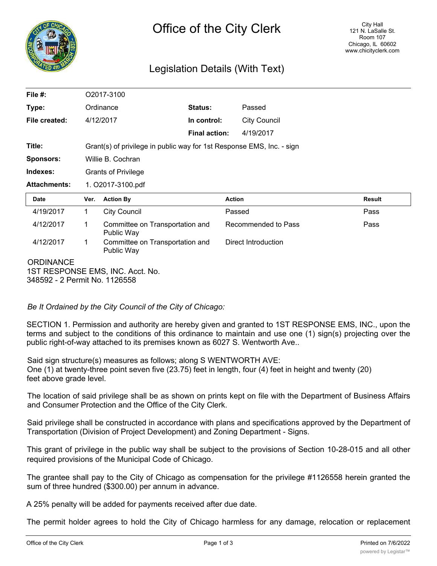

# Legislation Details (With Text)

| File $#$ :          |      | O2017-3100                                                            |                      |                     |               |  |
|---------------------|------|-----------------------------------------------------------------------|----------------------|---------------------|---------------|--|
| Type:               |      | Ordinance                                                             | <b>Status:</b>       | Passed              |               |  |
| File created:       |      | 4/12/2017                                                             | In control:          | <b>City Council</b> |               |  |
|                     |      |                                                                       | <b>Final action:</b> | 4/19/2017           |               |  |
| Title:              |      | Grant(s) of privilege in public way for 1st Response EMS, Inc. - sign |                      |                     |               |  |
| <b>Sponsors:</b>    |      | Willie B. Cochran                                                     |                      |                     |               |  |
| Indexes:            |      | <b>Grants of Privilege</b>                                            |                      |                     |               |  |
| <b>Attachments:</b> |      | 1. O2017-3100.pdf                                                     |                      |                     |               |  |
|                     |      |                                                                       |                      |                     |               |  |
| <b>Date</b>         | Ver. | <b>Action By</b>                                                      | <b>Action</b>        |                     | <b>Result</b> |  |
| 4/19/2017           | 1    | <b>City Council</b>                                                   | Passed               |                     | Pass          |  |
| 4/12/2017           | 1    | Committee on Transportation and<br>Public Way                         |                      | Recommended to Pass | Pass          |  |
| 4/12/2017           | 1    | Committee on Transportation and<br>Public Way                         |                      | Direct Introduction |               |  |

*Be It Ordained by the City Council of the City of Chicago:*

SECTION 1. Permission and authority are hereby given and granted to 1ST RESPONSE EMS, INC., upon the terms and subject to the conditions of this ordinance to maintain and use one (1) sign(s) projecting over the public right-of-way attached to its premises known as 6027 S. Wentworth Ave..

Said sign structure(s) measures as follows; along S WENTWORTH AVE: One (1) at twenty-three point seven five (23.75) feet in length, four (4) feet in height and twenty (20) feet above grade level.

The location of said privilege shall be as shown on prints kept on file with the Department of Business Affairs and Consumer Protection and the Office of the City Clerk.

Said privilege shall be constructed in accordance with plans and specifications approved by the Department of Transportation (Division of Project Development) and Zoning Department - Signs.

This grant of privilege in the public way shall be subject to the provisions of Section 10-28-015 and all other required provisions of the Municipal Code of Chicago.

The grantee shall pay to the City of Chicago as compensation for the privilege #1126558 herein granted the sum of three hundred (\$300.00) per annum in advance.

A 25% penalty will be added for payments received after due date.

The permit holder agrees to hold the City of Chicago harmless for any damage, relocation or replacement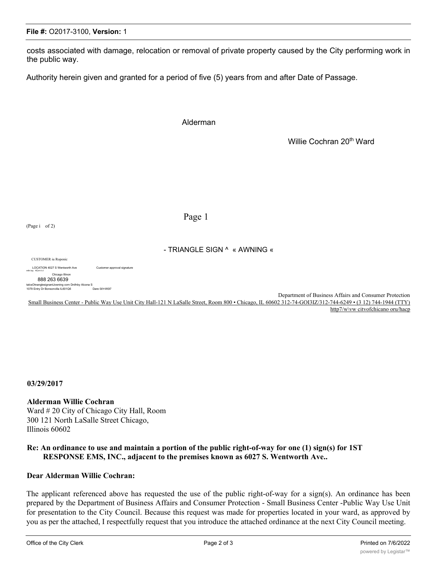## **File #:** O2017-3100, **Version:** 1

costs associated with damage, relocation or removal of private property caused by the City performing work in the public way.

Authority herein given and granted for a period of five (5) years from and after Date of Passage.

#### Alderman

Willie Cochran 20<sup>th</sup> Ward

#### Page 1

#### - TRIANGLE SIGN ^ « AWNING «

CUSTOMER iu Roponic

LOCATION 4027 S Wentworth Ave Customer approval signature<br>
mfn toy 4Cn+i k I

#### Chicago Illinon 888 263 6639<br>anglesignantJowning corn Dnifnby Alcona talcsOtnanglesignantJowning corn Dnifnby Alcona S<br>1079 Entry Dr Bonsonvilla IL601Q6 Dare 0l/l<W0l7

Department of Business Affairs and Consumer Protection Small Business Center - Public Way Use Unit City Hall-121 N LaSalle Street, Room 800 • Chicago, IL 60602 312-74-GOI3IZ/312-744-6249 • (3 12) 744-1944 (TTY) http7/w\vw citvofchicano oru/hacp

**03/29/2017**

**Alderman Willie Cochran**

Ward # 20 City of Chicago City Hall, Room 300 121 North LaSalle Street Chicago, Illinois 60602

### **Re: An ordinance to use and maintain a portion of the public right-of-way for one (1) sign(s) for 1ST RESPONSE EMS, INC., adjacent to the premises known as 6027 S. Wentworth Ave..**

### **Dear Alderman Willie Cochran:**

The applicant referenced above has requested the use of the public right-of-way for a sign(s). An ordinance has been prepared by the Department of Business Affairs and Consumer Protection - Small Business Center -Public Way Use Unit for presentation to the City Council. Because this request was made for properties located in your ward, as approved by you as per the attached, I respectfully request that you introduce the attached ordinance at the next City Council meeting.